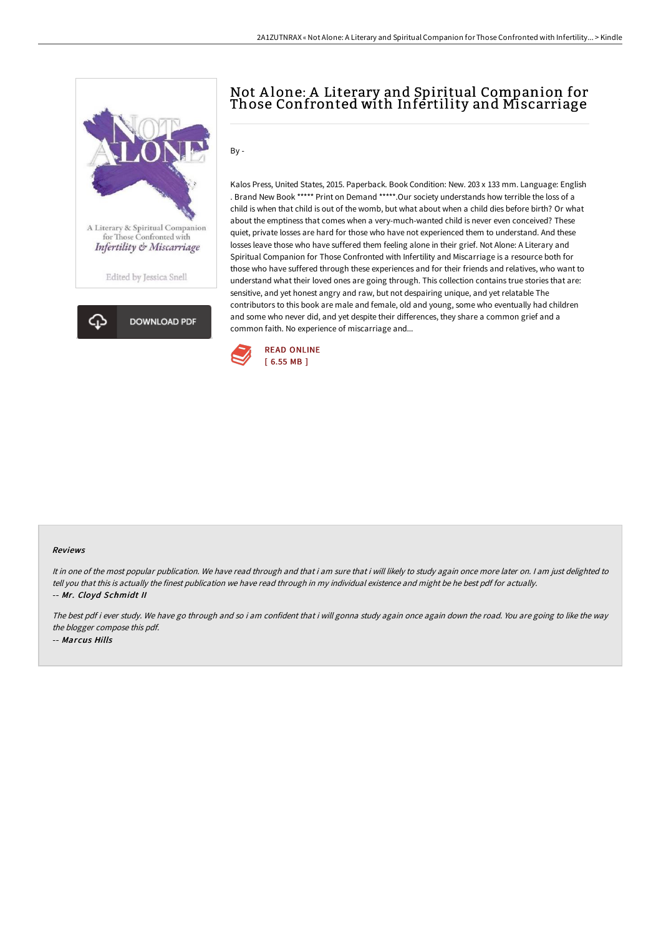



# Not A lone: A Literary and Spiritual Companion for Those Confronted with Infertility and Miscarriage

 $Bv -$ 

Kalos Press, United States, 2015. Paperback. Book Condition: New. 203 x 133 mm. Language: English . Brand New Book \*\*\*\*\* Print on Demand \*\*\*\*\*.Our society understands how terrible the loss of a child is when that child is out of the womb, but what about when a child dies before birth? Or what about the emptiness that comes when a very-much-wanted child is never even conceived? These quiet, private losses are hard for those who have not experienced them to understand. And these losses leave those who have suffered them feeling alone in their grief. Not Alone: A Literary and Spiritual Companion for Those Confronted with Infertility and Miscarriage is a resource both for those who have suffered through these experiences and for their friends and relatives, who want to understand what their loved ones are going through. This collection contains true stories that are: sensitive, and yet honest angry and raw, but not despairing unique, and yet relatable The contributors to this book are male and female, old and young, some who eventually had children and some who never did, and yet despite their differences, they share a common grief and a common faith. No experience of miscarriage and...



#### Reviews

It in one of the most popular publication. We have read through and that i am sure that i will likely to study again once more later on. <sup>I</sup> am just delighted to tell you that this is actually the finest publication we have read through in my individual existence and might be he best pdf for actually. -- Mr. Cloyd Schmidt II

The best pdf i ever study. We have go through and so i am confident that i will gonna study again once again down the road. You are going to like the way the blogger compose this pdf. -- Marcus Hills